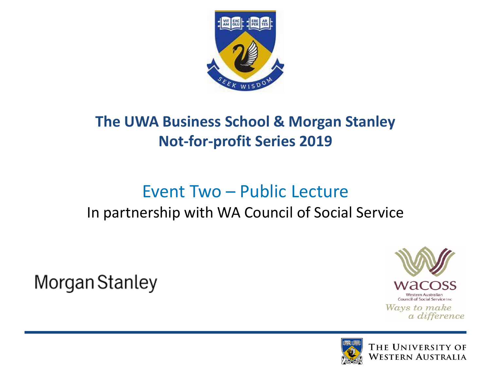

#### **The UWA Business School & Morgan Stanley Not-for-profit Series 2019**

### Event Two – Public Lecture

#### In partnership with WA Council of Social Service

Morgan Stanley



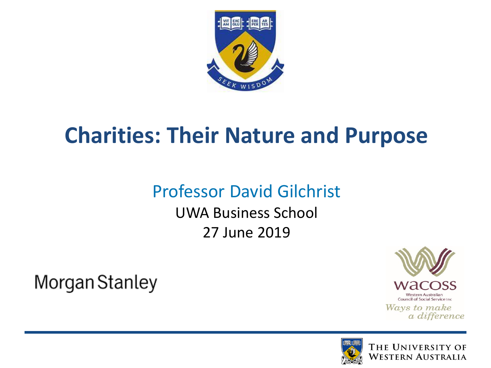

### **Charities: Their Nature and Purpose**

### Professor David Gilchrist

UWA Business School 27 June 2019

Morgan Stanley



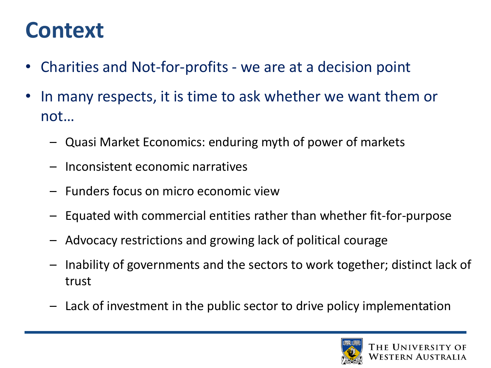### **Context**

- Charities and Not-for-profits we are at a decision point
- In many respects, it is time to ask whether we want them or not…
	- Quasi Market Economics: enduring myth of power of markets
	- Inconsistent economic narratives
	- Funders focus on micro economic view
	- Equated with commercial entities rather than whether fit-for-purpose
	- Advocacy restrictions and growing lack of political courage
	- Inability of governments and the sectors to work together; distinct lack of trust
	- Lack of investment in the public sector to drive policy implementation

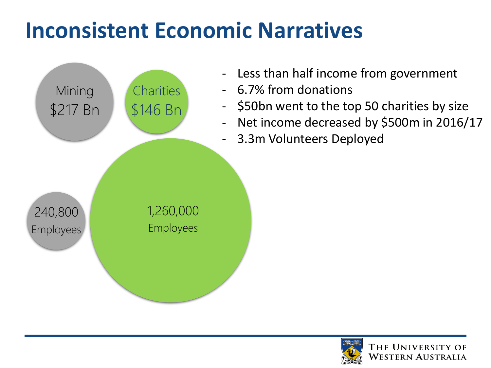## **Inconsistent Economic Narratives**



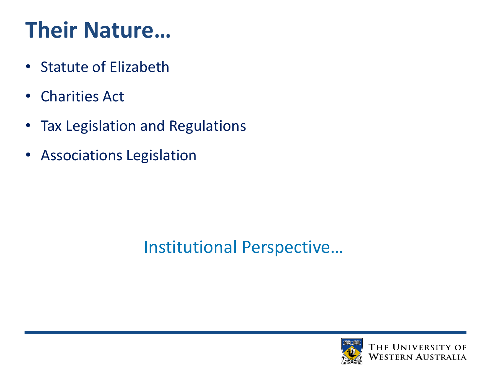## **Their Nature…**

- Statute of Elizabeth
- Charities Act
- Tax Legislation and Regulations
- Associations Legislation

### Institutional Perspective…

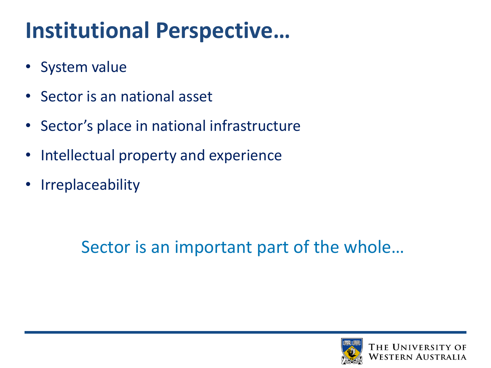## **Institutional Perspective…**

- System value
- Sector is an national asset
- Sector's place in national infrastructure
- Intellectual property and experience
- **Irreplaceability**

### Sector is an important part of the whole…

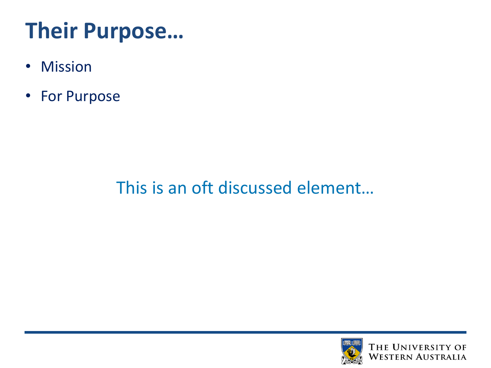# **Their Purpose…**

- Mission
- For Purpose

### This is an oft discussed element…

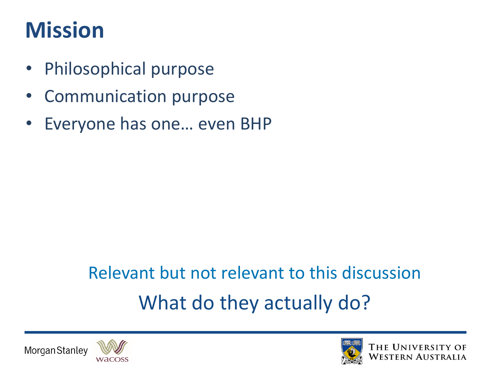## **Mission**

- Philosophical purpose
- Communication purpose
- Everyone has one… even BHP

# Relevant but not relevant to this discussion What do they actually do?





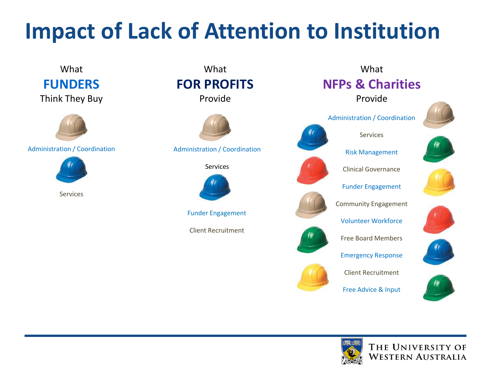## **Impact of Lack of Attention to Institution**



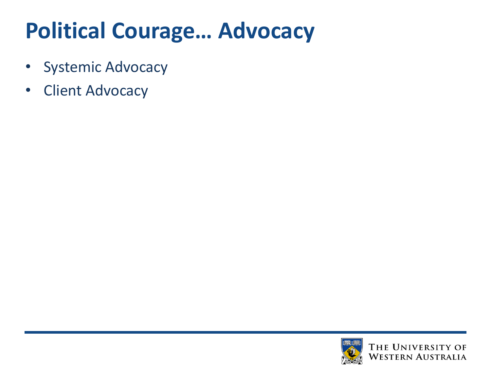# **Political Courage… Advocacy**

- Systemic Advocacy
- Client Advocacy

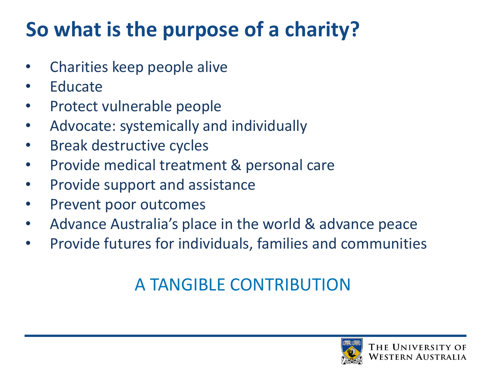### **So what is the purpose of a charity?**

- Charities keep people alive
- **Educate**
- Protect vulnerable people
- Advocate: systemically and individually
- Break destructive cycles
- Provide medical treatment & personal care
- Provide support and assistance
- Prevent poor outcomes
- Advance Australia's place in the world & advance peace
- Provide futures for individuals, families and communities

### A TANGIBLE CONTRIBUTION

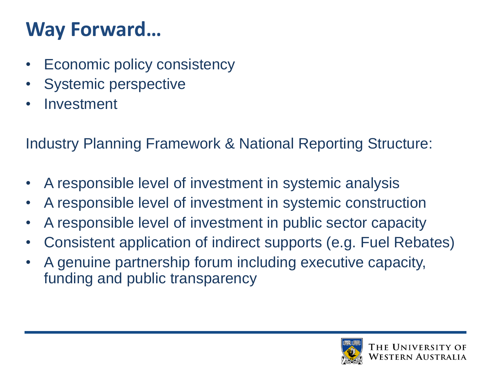### **Way Forward…**

- Economic policy consistency
- Systemic perspective
- **Investment**

Industry Planning Framework & National Reporting Structure:

- A responsible level of investment in systemic analysis
- A responsible level of investment in systemic construction
- A responsible level of investment in public sector capacity
- Consistent application of indirect supports (e.g. Fuel Rebates)
- A genuine partnership forum including executive capacity, funding and public transparency